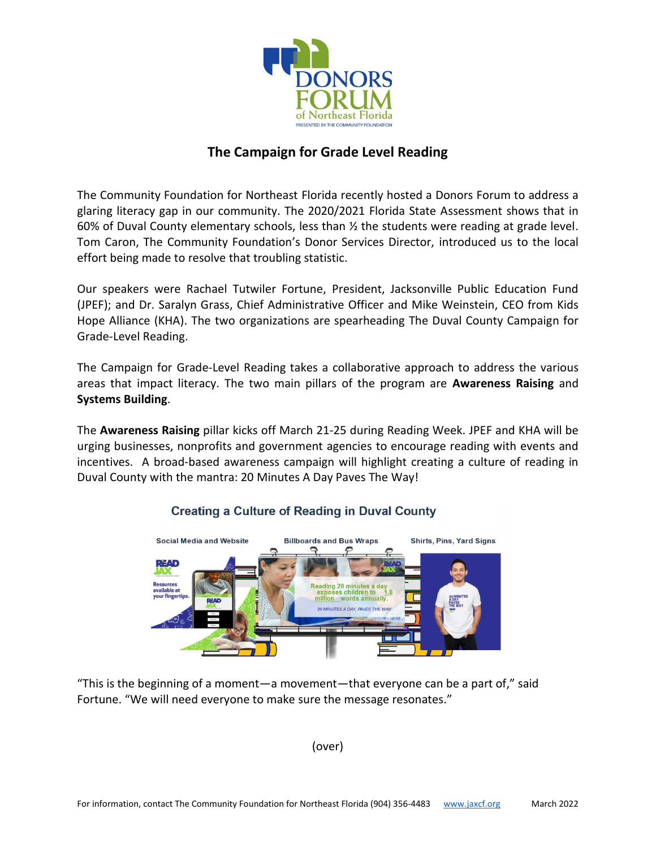

## **The Campaign for Grade Level Reading**

The Community Foundation for Northeast Florida recently hosted a Donors Forum to address a glaring literacy gap in our community. The 2020/2021 Florida State Assessment shows that in 60% of Duval County elementary schools, less than  $\frac{1}{2}$  the students were reading at grade level. Tom Caron, The Community Foundation's Donor Services Director, introduced us to the local effort being made to resolve that troubling statistic.

Our speakers were Rachael Tutwiler Fortune, President, Jacksonville Public Education Fund (JPEF); and Dr. Saralyn Grass, Chief Administrative Officer and Mike Weinstein, CEO from Kids Hope Alliance (KHA). The two organizations are spearheading The Duval County Campaign for Grade-Level Reading.

The Campaign for Grade-Level Reading takes a collaborative approach to address the various areas that impact literacy. The two main pillars of the program are **Awareness Raising** and **Systems Building**.

The **Awareness Raising** pillar kicks off March 21-25 during Reading Week. JPEF and KHA will be urging businesses, nonprofits and government agencies to encourage reading with events and incentives. A broad-based awareness campaign will highlight creating a culture of reading in Duval County with the mantra: 20 Minutes A Day Paves The Way!



## **Creating a Culture of Reading in Duval County**

"This is the beginning of a moment—a movement—that everyone can be a part of," said Fortune. "We will need everyone to make sure the message resonates."

(over)